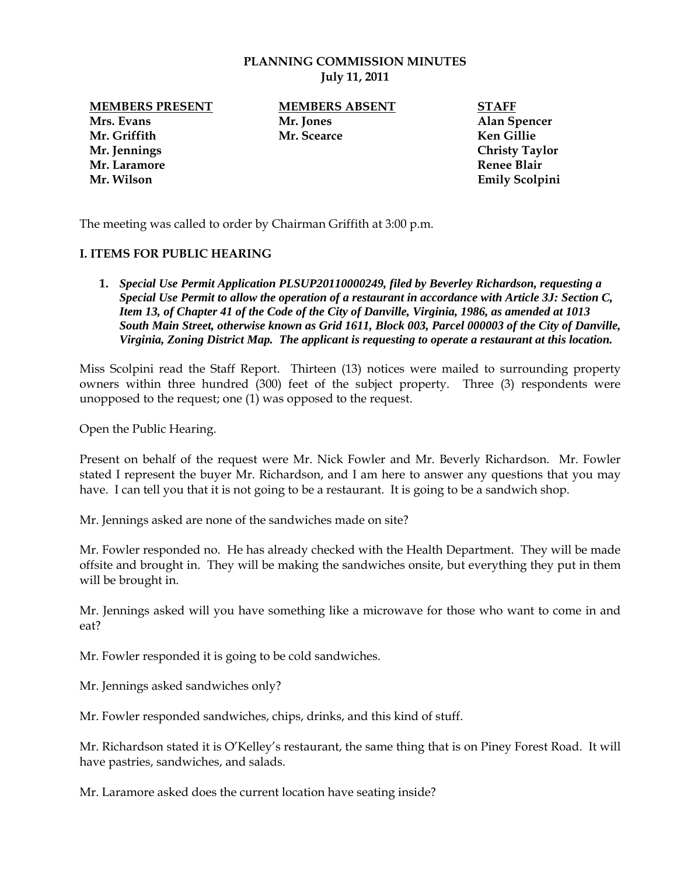### **PLANNING COMMISSION MINUTES July 11, 2011**

**MEMBERS PRESENT MEMBERS ABSENT STAFF**<br>Mr. Jones Mr. Mr. Members Alan St **Mrs. Evans Mr. Jones Alan Spencer Mr. Griffith Mr. Scearce Ken Gillie Mr. Jennings Christy Taylor Mr. Laramore** Renee Blair **Renee Blair Renee Blair Renee Blair Mr. Wilson Emily Scolpini** 

The meeting was called to order by Chairman Griffith at 3:00 p.m.

### **I. ITEMS FOR PUBLIC HEARING**

**1.** *Special Use Permit Application PLSUP20110000249, filed by Beverley Richardson, requesting a Special Use Permit to allow the operation of a restaurant in accordance with Article 3J: Section C, Item 13, of Chapter 41 of the Code of the City of Danville, Virginia, 1986, as amended at 1013 South Main Street, otherwise known as Grid 1611, Block 003, Parcel 000003 of the City of Danville, Virginia, Zoning District Map. The applicant is requesting to operate a restaurant at this location.* 

Miss Scolpini read the Staff Report. Thirteen (13) notices were mailed to surrounding property owners within three hundred (300) feet of the subject property. Three (3) respondents were unopposed to the request; one (1) was opposed to the request.

Open the Public Hearing.

Present on behalf of the request were Mr. Nick Fowler and Mr. Beverly Richardson. Mr. Fowler stated I represent the buyer Mr. Richardson, and I am here to answer any questions that you may have. I can tell you that it is not going to be a restaurant. It is going to be a sandwich shop.

Mr. Jennings asked are none of the sandwiches made on site?

Mr. Fowler responded no. He has already checked with the Health Department. They will be made offsite and brought in. They will be making the sandwiches onsite, but everything they put in them will be brought in.

Mr. Jennings asked will you have something like a microwave for those who want to come in and eat?

Mr. Fowler responded it is going to be cold sandwiches.

Mr. Jennings asked sandwiches only?

Mr. Fowler responded sandwiches, chips, drinks, and this kind of stuff.

Mr. Richardson stated it is O'Kelley's restaurant, the same thing that is on Piney Forest Road. It will have pastries, sandwiches, and salads.

Mr. Laramore asked does the current location have seating inside?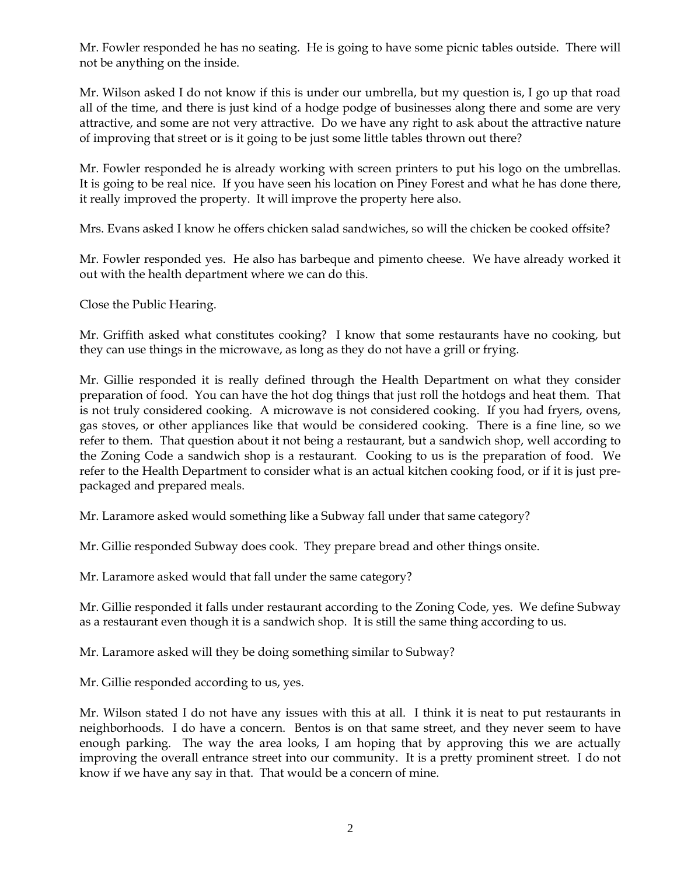Mr. Fowler responded he has no seating. He is going to have some picnic tables outside. There will not be anything on the inside.

Mr. Wilson asked I do not know if this is under our umbrella, but my question is, I go up that road all of the time, and there is just kind of a hodge podge of businesses along there and some are very attractive, and some are not very attractive. Do we have any right to ask about the attractive nature of improving that street or is it going to be just some little tables thrown out there?

Mr. Fowler responded he is already working with screen printers to put his logo on the umbrellas. It is going to be real nice. If you have seen his location on Piney Forest and what he has done there, it really improved the property. It will improve the property here also.

Mrs. Evans asked I know he offers chicken salad sandwiches, so will the chicken be cooked offsite?

Mr. Fowler responded yes. He also has barbeque and pimento cheese. We have already worked it out with the health department where we can do this.

Close the Public Hearing.

Mr. Griffith asked what constitutes cooking? I know that some restaurants have no cooking, but they can use things in the microwave, as long as they do not have a grill or frying.

Mr. Gillie responded it is really defined through the Health Department on what they consider preparation of food. You can have the hot dog things that just roll the hotdogs and heat them. That is not truly considered cooking. A microwave is not considered cooking. If you had fryers, ovens, gas stoves, or other appliances like that would be considered cooking. There is a fine line, so we refer to them. That question about it not being a restaurant, but a sandwich shop, well according to the Zoning Code a sandwich shop is a restaurant. Cooking to us is the preparation of food. We refer to the Health Department to consider what is an actual kitchen cooking food, or if it is just prepackaged and prepared meals.

Mr. Laramore asked would something like a Subway fall under that same category?

Mr. Gillie responded Subway does cook. They prepare bread and other things onsite.

Mr. Laramore asked would that fall under the same category?

Mr. Gillie responded it falls under restaurant according to the Zoning Code, yes. We define Subway as a restaurant even though it is a sandwich shop. It is still the same thing according to us.

Mr. Laramore asked will they be doing something similar to Subway?

Mr. Gillie responded according to us, yes.

Mr. Wilson stated I do not have any issues with this at all. I think it is neat to put restaurants in neighborhoods. I do have a concern. Bentos is on that same street, and they never seem to have enough parking. The way the area looks, I am hoping that by approving this we are actually improving the overall entrance street into our community. It is a pretty prominent street. I do not know if we have any say in that. That would be a concern of mine.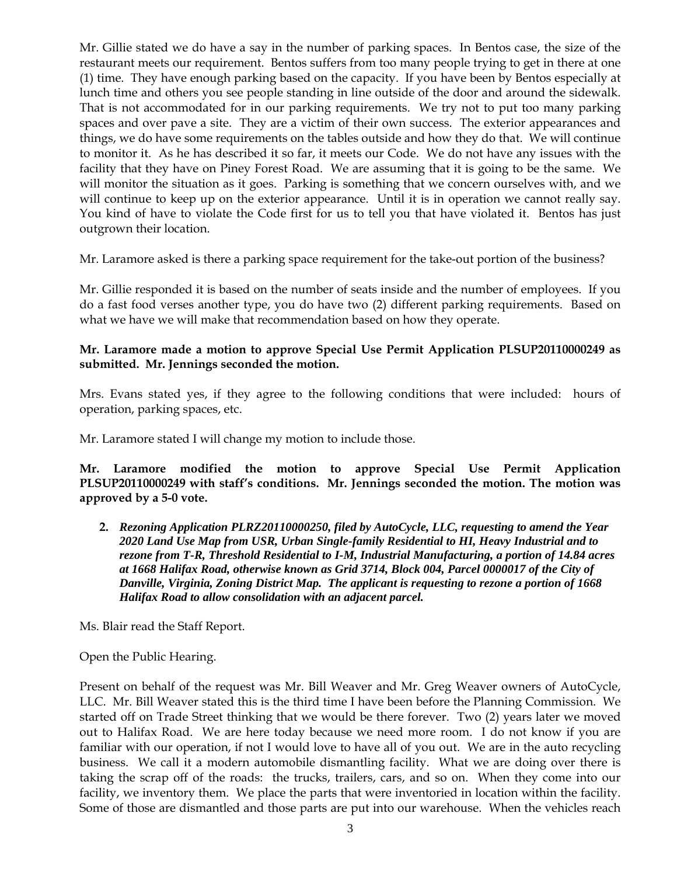Mr. Gillie stated we do have a say in the number of parking spaces. In Bentos case, the size of the restaurant meets our requirement. Bentos suffers from too many people trying to get in there at one (1) time. They have enough parking based on the capacity. If you have been by Bentos especially at lunch time and others you see people standing in line outside of the door and around the sidewalk. That is not accommodated for in our parking requirements. We try not to put too many parking spaces and over pave a site. They are a victim of their own success. The exterior appearances and things, we do have some requirements on the tables outside and how they do that. We will continue to monitor it. As he has described it so far, it meets our Code. We do not have any issues with the facility that they have on Piney Forest Road. We are assuming that it is going to be the same. We will monitor the situation as it goes. Parking is something that we concern ourselves with, and we will continue to keep up on the exterior appearance. Until it is in operation we cannot really say. You kind of have to violate the Code first for us to tell you that have violated it. Bentos has just outgrown their location.

Mr. Laramore asked is there a parking space requirement for the take-out portion of the business?

Mr. Gillie responded it is based on the number of seats inside and the number of employees. If you do a fast food verses another type, you do have two (2) different parking requirements. Based on what we have we will make that recommendation based on how they operate.

# **Mr. Laramore made a motion to approve Special Use Permit Application PLSUP20110000249 as submitted. Mr. Jennings seconded the motion.**

Mrs. Evans stated yes, if they agree to the following conditions that were included: hours of operation, parking spaces, etc.

Mr. Laramore stated I will change my motion to include those.

**Mr. Laramore modified the motion to approve Special Use Permit Application PLSUP20110000249 with staff's conditions. Mr. Jennings seconded the motion. The motion was approved by a 5-0 vote.** 

**2.** *Rezoning Application PLRZ20110000250, filed by AutoCycle, LLC, requesting to amend the Year 2020 Land Use Map from USR, Urban Single-family Residential to HI, Heavy Industrial and to rezone from T-R, Threshold Residential to I-M, Industrial Manufacturing, a portion of 14.84 acres at 1668 Halifax Road, otherwise known as Grid 3714, Block 004, Parcel 0000017 of the City of Danville, Virginia, Zoning District Map. The applicant is requesting to rezone a portion of 1668 Halifax Road to allow consolidation with an adjacent parcel.* 

Ms. Blair read the Staff Report.

Open the Public Hearing.

Present on behalf of the request was Mr. Bill Weaver and Mr. Greg Weaver owners of AutoCycle, LLC. Mr. Bill Weaver stated this is the third time I have been before the Planning Commission. We started off on Trade Street thinking that we would be there forever. Two (2) years later we moved out to Halifax Road. We are here today because we need more room. I do not know if you are familiar with our operation, if not I would love to have all of you out. We are in the auto recycling business. We call it a modern automobile dismantling facility. What we are doing over there is taking the scrap off of the roads: the trucks, trailers, cars, and so on. When they come into our facility, we inventory them. We place the parts that were inventoried in location within the facility. Some of those are dismantled and those parts are put into our warehouse. When the vehicles reach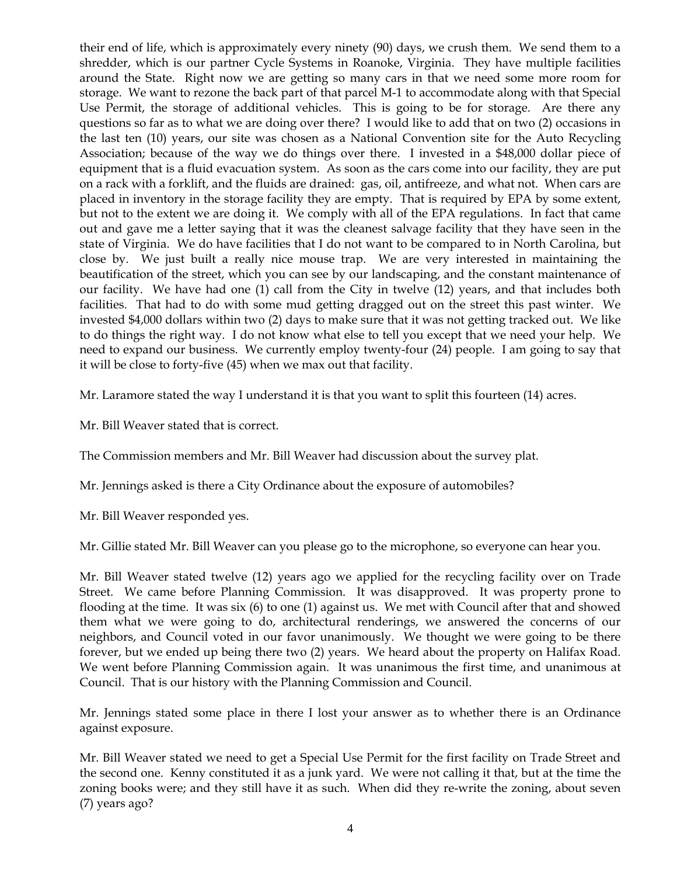their end of life, which is approximately every ninety (90) days, we crush them. We send them to a shredder, which is our partner Cycle Systems in Roanoke, Virginia. They have multiple facilities around the State. Right now we are getting so many cars in that we need some more room for storage. We want to rezone the back part of that parcel M-1 to accommodate along with that Special Use Permit, the storage of additional vehicles. This is going to be for storage. Are there any questions so far as to what we are doing over there? I would like to add that on two (2) occasions in the last ten (10) years, our site was chosen as a National Convention site for the Auto Recycling Association; because of the way we do things over there. I invested in a \$48,000 dollar piece of equipment that is a fluid evacuation system. As soon as the cars come into our facility, they are put on a rack with a forklift, and the fluids are drained: gas, oil, antifreeze, and what not. When cars are placed in inventory in the storage facility they are empty. That is required by EPA by some extent, but not to the extent we are doing it. We comply with all of the EPA regulations. In fact that came out and gave me a letter saying that it was the cleanest salvage facility that they have seen in the state of Virginia. We do have facilities that I do not want to be compared to in North Carolina, but close by. We just built a really nice mouse trap. We are very interested in maintaining the beautification of the street, which you can see by our landscaping, and the constant maintenance of our facility. We have had one (1) call from the City in twelve (12) years, and that includes both facilities. That had to do with some mud getting dragged out on the street this past winter. We invested \$4,000 dollars within two (2) days to make sure that it was not getting tracked out. We like to do things the right way. I do not know what else to tell you except that we need your help. We need to expand our business. We currently employ twenty-four (24) people. I am going to say that it will be close to forty-five (45) when we max out that facility.

Mr. Laramore stated the way I understand it is that you want to split this fourteen (14) acres.

Mr. Bill Weaver stated that is correct.

The Commission members and Mr. Bill Weaver had discussion about the survey plat.

Mr. Jennings asked is there a City Ordinance about the exposure of automobiles?

Mr. Bill Weaver responded yes.

Mr. Gillie stated Mr. Bill Weaver can you please go to the microphone, so everyone can hear you.

Mr. Bill Weaver stated twelve (12) years ago we applied for the recycling facility over on Trade Street. We came before Planning Commission. It was disapproved. It was property prone to flooding at the time. It was six (6) to one (1) against us. We met with Council after that and showed them what we were going to do, architectural renderings, we answered the concerns of our neighbors, and Council voted in our favor unanimously. We thought we were going to be there forever, but we ended up being there two (2) years. We heard about the property on Halifax Road. We went before Planning Commission again. It was unanimous the first time, and unanimous at Council. That is our history with the Planning Commission and Council.

Mr. Jennings stated some place in there I lost your answer as to whether there is an Ordinance against exposure.

Mr. Bill Weaver stated we need to get a Special Use Permit for the first facility on Trade Street and the second one. Kenny constituted it as a junk yard. We were not calling it that, but at the time the zoning books were; and they still have it as such. When did they re-write the zoning, about seven (7) years ago?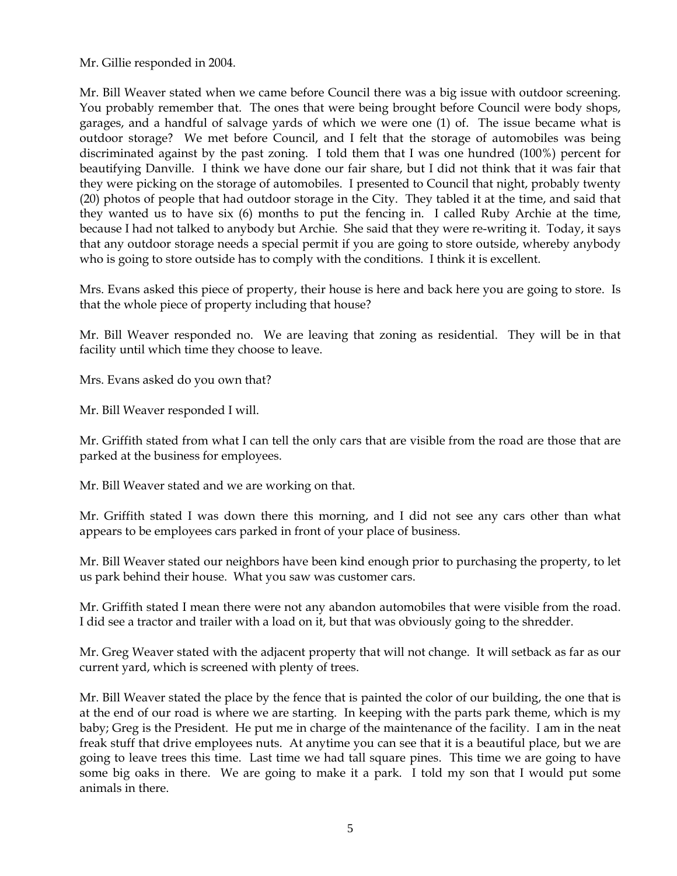Mr. Gillie responded in 2004.

Mr. Bill Weaver stated when we came before Council there was a big issue with outdoor screening. You probably remember that. The ones that were being brought before Council were body shops, garages, and a handful of salvage yards of which we were one (1) of. The issue became what is outdoor storage? We met before Council, and I felt that the storage of automobiles was being discriminated against by the past zoning. I told them that I was one hundred (100%) percent for beautifying Danville. I think we have done our fair share, but I did not think that it was fair that they were picking on the storage of automobiles. I presented to Council that night, probably twenty (20) photos of people that had outdoor storage in the City. They tabled it at the time, and said that they wanted us to have six (6) months to put the fencing in. I called Ruby Archie at the time, because I had not talked to anybody but Archie. She said that they were re-writing it. Today, it says that any outdoor storage needs a special permit if you are going to store outside, whereby anybody who is going to store outside has to comply with the conditions. I think it is excellent.

Mrs. Evans asked this piece of property, their house is here and back here you are going to store. Is that the whole piece of property including that house?

Mr. Bill Weaver responded no. We are leaving that zoning as residential. They will be in that facility until which time they choose to leave.

Mrs. Evans asked do you own that?

Mr. Bill Weaver responded I will.

Mr. Griffith stated from what I can tell the only cars that are visible from the road are those that are parked at the business for employees.

Mr. Bill Weaver stated and we are working on that.

Mr. Griffith stated I was down there this morning, and I did not see any cars other than what appears to be employees cars parked in front of your place of business.

Mr. Bill Weaver stated our neighbors have been kind enough prior to purchasing the property, to let us park behind their house. What you saw was customer cars.

Mr. Griffith stated I mean there were not any abandon automobiles that were visible from the road. I did see a tractor and trailer with a load on it, but that was obviously going to the shredder.

Mr. Greg Weaver stated with the adjacent property that will not change. It will setback as far as our current yard, which is screened with plenty of trees.

Mr. Bill Weaver stated the place by the fence that is painted the color of our building, the one that is at the end of our road is where we are starting. In keeping with the parts park theme, which is my baby; Greg is the President. He put me in charge of the maintenance of the facility. I am in the neat freak stuff that drive employees nuts. At anytime you can see that it is a beautiful place, but we are going to leave trees this time. Last time we had tall square pines. This time we are going to have some big oaks in there. We are going to make it a park. I told my son that I would put some animals in there.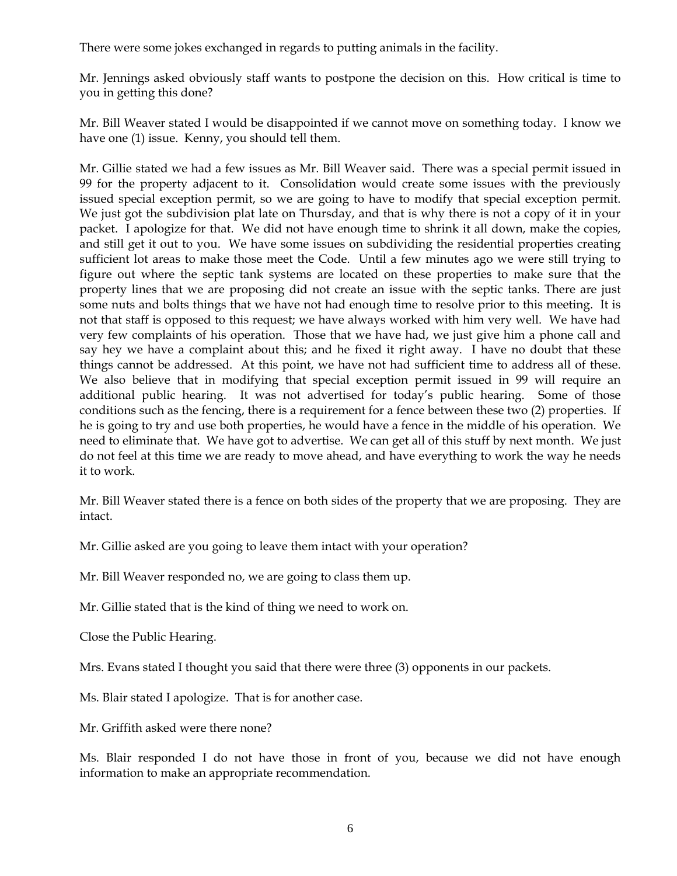There were some jokes exchanged in regards to putting animals in the facility.

Mr. Jennings asked obviously staff wants to postpone the decision on this. How critical is time to you in getting this done?

Mr. Bill Weaver stated I would be disappointed if we cannot move on something today. I know we have one (1) issue. Kenny, you should tell them.

Mr. Gillie stated we had a few issues as Mr. Bill Weaver said. There was a special permit issued in 99 for the property adjacent to it. Consolidation would create some issues with the previously issued special exception permit, so we are going to have to modify that special exception permit. We just got the subdivision plat late on Thursday, and that is why there is not a copy of it in your packet. I apologize for that. We did not have enough time to shrink it all down, make the copies, and still get it out to you. We have some issues on subdividing the residential properties creating sufficient lot areas to make those meet the Code. Until a few minutes ago we were still trying to figure out where the septic tank systems are located on these properties to make sure that the property lines that we are proposing did not create an issue with the septic tanks. There are just some nuts and bolts things that we have not had enough time to resolve prior to this meeting. It is not that staff is opposed to this request; we have always worked with him very well. We have had very few complaints of his operation. Those that we have had, we just give him a phone call and say hey we have a complaint about this; and he fixed it right away. I have no doubt that these things cannot be addressed. At this point, we have not had sufficient time to address all of these. We also believe that in modifying that special exception permit issued in 99 will require an additional public hearing. It was not advertised for today's public hearing. Some of those conditions such as the fencing, there is a requirement for a fence between these two (2) properties. If he is going to try and use both properties, he would have a fence in the middle of his operation. We need to eliminate that. We have got to advertise. We can get all of this stuff by next month. We just do not feel at this time we are ready to move ahead, and have everything to work the way he needs it to work.

Mr. Bill Weaver stated there is a fence on both sides of the property that we are proposing. They are intact.

Mr. Gillie asked are you going to leave them intact with your operation?

Mr. Bill Weaver responded no, we are going to class them up.

Mr. Gillie stated that is the kind of thing we need to work on.

Close the Public Hearing.

Mrs. Evans stated I thought you said that there were three (3) opponents in our packets.

Ms. Blair stated I apologize. That is for another case.

Mr. Griffith asked were there none?

Ms. Blair responded I do not have those in front of you, because we did not have enough information to make an appropriate recommendation.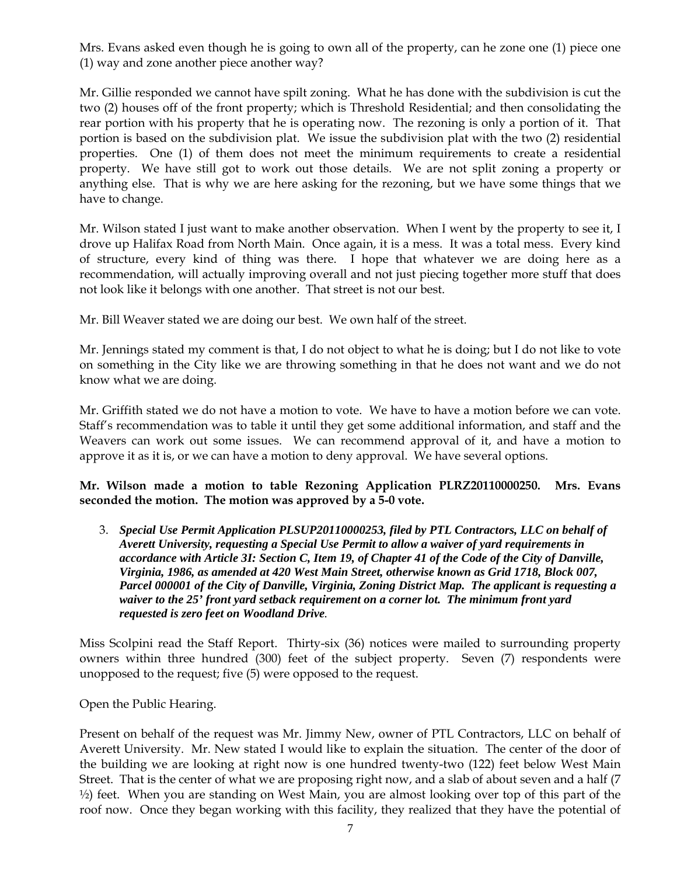Mrs. Evans asked even though he is going to own all of the property, can he zone one (1) piece one (1) way and zone another piece another way?

Mr. Gillie responded we cannot have spilt zoning. What he has done with the subdivision is cut the two (2) houses off of the front property; which is Threshold Residential; and then consolidating the rear portion with his property that he is operating now. The rezoning is only a portion of it. That portion is based on the subdivision plat. We issue the subdivision plat with the two (2) residential properties. One (1) of them does not meet the minimum requirements to create a residential property. We have still got to work out those details. We are not split zoning a property or anything else. That is why we are here asking for the rezoning, but we have some things that we have to change.

Mr. Wilson stated I just want to make another observation. When I went by the property to see it, I drove up Halifax Road from North Main. Once again, it is a mess. It was a total mess. Every kind of structure, every kind of thing was there. I hope that whatever we are doing here as a recommendation, will actually improving overall and not just piecing together more stuff that does not look like it belongs with one another. That street is not our best.

Mr. Bill Weaver stated we are doing our best. We own half of the street.

Mr. Jennings stated my comment is that, I do not object to what he is doing; but I do not like to vote on something in the City like we are throwing something in that he does not want and we do not know what we are doing.

Mr. Griffith stated we do not have a motion to vote. We have to have a motion before we can vote. Staff's recommendation was to table it until they get some additional information, and staff and the Weavers can work out some issues. We can recommend approval of it, and have a motion to approve it as it is, or we can have a motion to deny approval. We have several options.

# **Mr. Wilson made a motion to table Rezoning Application PLRZ20110000250. Mrs. Evans seconded the motion. The motion was approved by a 5-0 vote.**

3. *Special Use Permit Application PLSUP20110000253, filed by PTL Contractors, LLC on behalf of Averett University, requesting a Special Use Permit to allow a waiver of yard requirements in accordance with Article 3I: Section C, Item 19, of Chapter 41 of the Code of the City of Danville, Virginia, 1986, as amended at 420 West Main Street, otherwise known as Grid 1718, Block 007, Parcel 000001 of the City of Danville, Virginia, Zoning District Map. The applicant is requesting a waiver to the 25' front yard setback requirement on a corner lot. The minimum front yard requested is zero feet on Woodland Drive.* 

Miss Scolpini read the Staff Report. Thirty-six (36) notices were mailed to surrounding property owners within three hundred (300) feet of the subject property. Seven (7) respondents were unopposed to the request; five (5) were opposed to the request.

Open the Public Hearing.

Present on behalf of the request was Mr. Jimmy New, owner of PTL Contractors, LLC on behalf of Averett University. Mr. New stated I would like to explain the situation. The center of the door of the building we are looking at right now is one hundred twenty-two (122) feet below West Main Street. That is the center of what we are proposing right now, and a slab of about seven and a half (7 ½) feet. When you are standing on West Main, you are almost looking over top of this part of the roof now. Once they began working with this facility, they realized that they have the potential of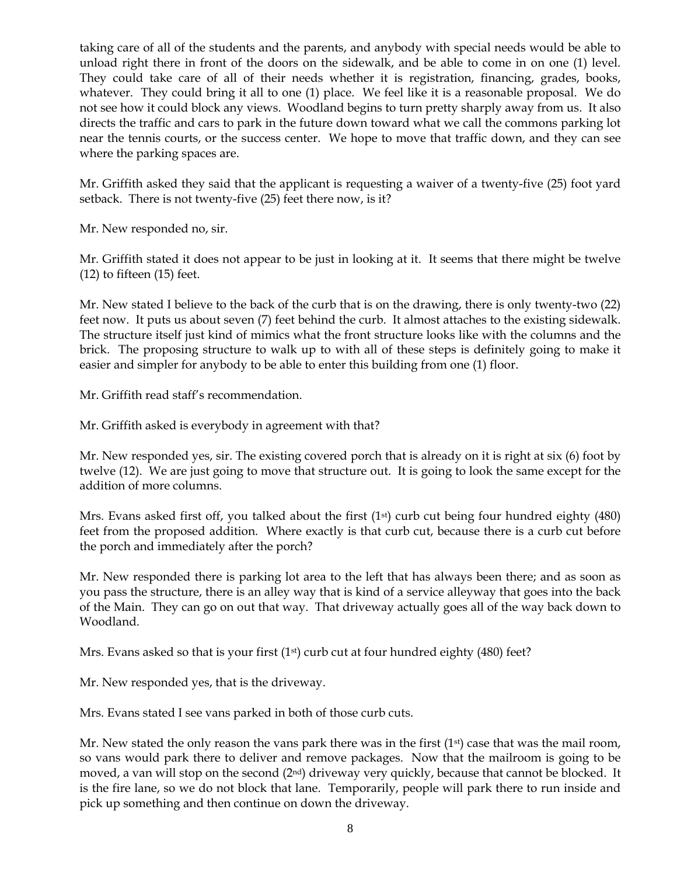taking care of all of the students and the parents, and anybody with special needs would be able to unload right there in front of the doors on the sidewalk, and be able to come in on one (1) level. They could take care of all of their needs whether it is registration, financing, grades, books, whatever. They could bring it all to one (1) place. We feel like it is a reasonable proposal. We do not see how it could block any views. Woodland begins to turn pretty sharply away from us. It also directs the traffic and cars to park in the future down toward what we call the commons parking lot near the tennis courts, or the success center. We hope to move that traffic down, and they can see where the parking spaces are.

Mr. Griffith asked they said that the applicant is requesting a waiver of a twenty-five (25) foot yard setback. There is not twenty-five (25) feet there now, is it?

Mr. New responded no, sir.

Mr. Griffith stated it does not appear to be just in looking at it. It seems that there might be twelve (12) to fifteen (15) feet.

Mr. New stated I believe to the back of the curb that is on the drawing, there is only twenty-two (22) feet now. It puts us about seven (7) feet behind the curb. It almost attaches to the existing sidewalk. The structure itself just kind of mimics what the front structure looks like with the columns and the brick. The proposing structure to walk up to with all of these steps is definitely going to make it easier and simpler for anybody to be able to enter this building from one (1) floor.

Mr. Griffith read staff's recommendation.

Mr. Griffith asked is everybody in agreement with that?

Mr. New responded yes, sir. The existing covered porch that is already on it is right at six (6) foot by twelve (12). We are just going to move that structure out. It is going to look the same except for the addition of more columns.

Mrs. Evans asked first off, you talked about the first (1<sup>st</sup>) curb cut being four hundred eighty (480) feet from the proposed addition. Where exactly is that curb cut, because there is a curb cut before the porch and immediately after the porch?

Mr. New responded there is parking lot area to the left that has always been there; and as soon as you pass the structure, there is an alley way that is kind of a service alleyway that goes into the back of the Main. They can go on out that way. That driveway actually goes all of the way back down to Woodland.

Mrs. Evans asked so that is your first  $(1<sup>st</sup>)$  curb cut at four hundred eighty (480) feet?

Mr. New responded yes, that is the driveway.

Mrs. Evans stated I see vans parked in both of those curb cuts.

Mr. New stated the only reason the vans park there was in the first  $(1<sup>st</sup>)$  case that was the mail room, so vans would park there to deliver and remove packages. Now that the mailroom is going to be moved, a van will stop on the second  $(2<sup>nd</sup>)$  driveway very quickly, because that cannot be blocked. It is the fire lane, so we do not block that lane. Temporarily, people will park there to run inside and pick up something and then continue on down the driveway.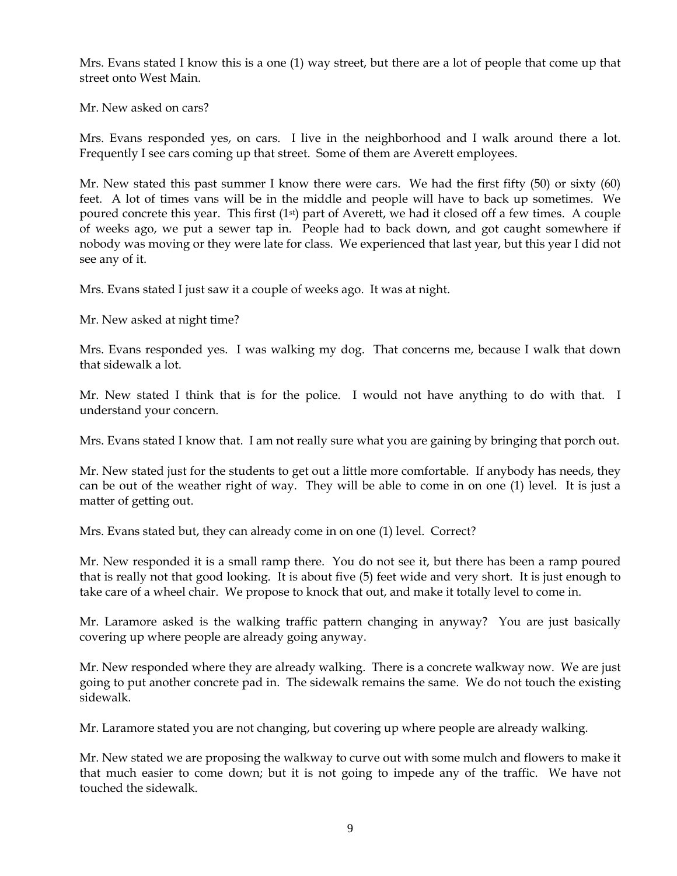Mrs. Evans stated I know this is a one (1) way street, but there are a lot of people that come up that street onto West Main.

Mr. New asked on cars?

Mrs. Evans responded yes, on cars. I live in the neighborhood and I walk around there a lot. Frequently I see cars coming up that street. Some of them are Averett employees.

Mr. New stated this past summer I know there were cars. We had the first fifty (50) or sixty (60) feet. A lot of times vans will be in the middle and people will have to back up sometimes. We poured concrete this year. This first (1<sup>st</sup>) part of Averett, we had it closed off a few times. A couple of weeks ago, we put a sewer tap in. People had to back down, and got caught somewhere if nobody was moving or they were late for class. We experienced that last year, but this year I did not see any of it.

Mrs. Evans stated I just saw it a couple of weeks ago. It was at night.

Mr. New asked at night time?

Mrs. Evans responded yes. I was walking my dog. That concerns me, because I walk that down that sidewalk a lot.

Mr. New stated I think that is for the police. I would not have anything to do with that. I understand your concern.

Mrs. Evans stated I know that. I am not really sure what you are gaining by bringing that porch out.

Mr. New stated just for the students to get out a little more comfortable. If anybody has needs, they can be out of the weather right of way. They will be able to come in on one (1) level. It is just a matter of getting out.

Mrs. Evans stated but, they can already come in on one (1) level. Correct?

Mr. New responded it is a small ramp there. You do not see it, but there has been a ramp poured that is really not that good looking. It is about five (5) feet wide and very short. It is just enough to take care of a wheel chair. We propose to knock that out, and make it totally level to come in.

Mr. Laramore asked is the walking traffic pattern changing in anyway? You are just basically covering up where people are already going anyway.

Mr. New responded where they are already walking. There is a concrete walkway now. We are just going to put another concrete pad in. The sidewalk remains the same. We do not touch the existing sidewalk.

Mr. Laramore stated you are not changing, but covering up where people are already walking.

Mr. New stated we are proposing the walkway to curve out with some mulch and flowers to make it that much easier to come down; but it is not going to impede any of the traffic. We have not touched the sidewalk.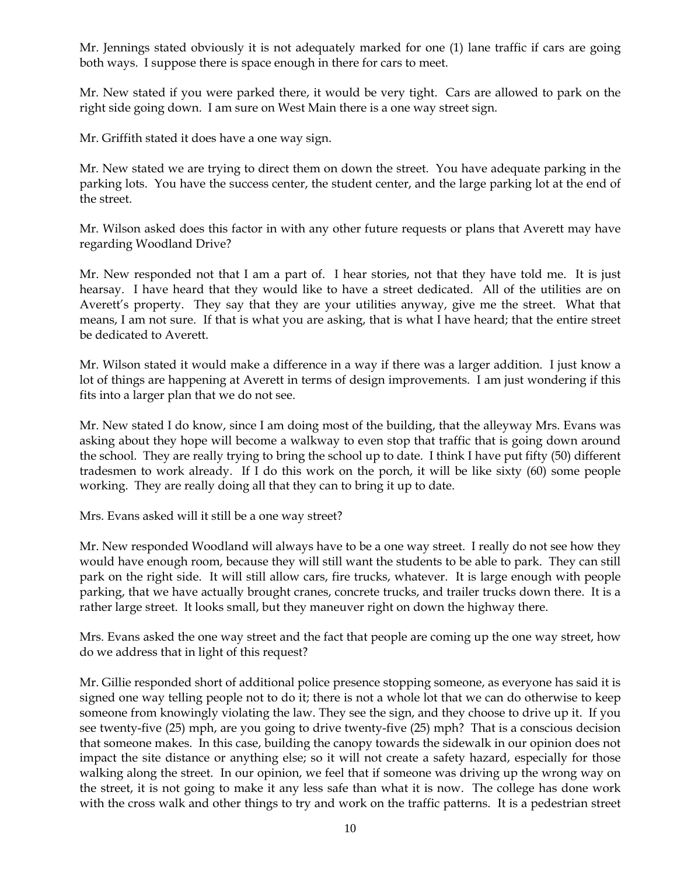Mr. Jennings stated obviously it is not adequately marked for one (1) lane traffic if cars are going both ways. I suppose there is space enough in there for cars to meet.

Mr. New stated if you were parked there, it would be very tight. Cars are allowed to park on the right side going down. I am sure on West Main there is a one way street sign.

Mr. Griffith stated it does have a one way sign.

Mr. New stated we are trying to direct them on down the street. You have adequate parking in the parking lots. You have the success center, the student center, and the large parking lot at the end of the street.

Mr. Wilson asked does this factor in with any other future requests or plans that Averett may have regarding Woodland Drive?

Mr. New responded not that I am a part of. I hear stories, not that they have told me. It is just hearsay. I have heard that they would like to have a street dedicated. All of the utilities are on Averett's property. They say that they are your utilities anyway, give me the street. What that means, I am not sure. If that is what you are asking, that is what I have heard; that the entire street be dedicated to Averett.

Mr. Wilson stated it would make a difference in a way if there was a larger addition. I just know a lot of things are happening at Averett in terms of design improvements. I am just wondering if this fits into a larger plan that we do not see.

Mr. New stated I do know, since I am doing most of the building, that the alleyway Mrs. Evans was asking about they hope will become a walkway to even stop that traffic that is going down around the school. They are really trying to bring the school up to date. I think I have put fifty (50) different tradesmen to work already. If I do this work on the porch, it will be like sixty (60) some people working. They are really doing all that they can to bring it up to date.

Mrs. Evans asked will it still be a one way street?

Mr. New responded Woodland will always have to be a one way street. I really do not see how they would have enough room, because they will still want the students to be able to park. They can still park on the right side. It will still allow cars, fire trucks, whatever. It is large enough with people parking, that we have actually brought cranes, concrete trucks, and trailer trucks down there. It is a rather large street. It looks small, but they maneuver right on down the highway there.

Mrs. Evans asked the one way street and the fact that people are coming up the one way street, how do we address that in light of this request?

Mr. Gillie responded short of additional police presence stopping someone, as everyone has said it is signed one way telling people not to do it; there is not a whole lot that we can do otherwise to keep someone from knowingly violating the law. They see the sign, and they choose to drive up it. If you see twenty-five (25) mph, are you going to drive twenty-five (25) mph? That is a conscious decision that someone makes. In this case, building the canopy towards the sidewalk in our opinion does not impact the site distance or anything else; so it will not create a safety hazard, especially for those walking along the street. In our opinion, we feel that if someone was driving up the wrong way on the street, it is not going to make it any less safe than what it is now. The college has done work with the cross walk and other things to try and work on the traffic patterns. It is a pedestrian street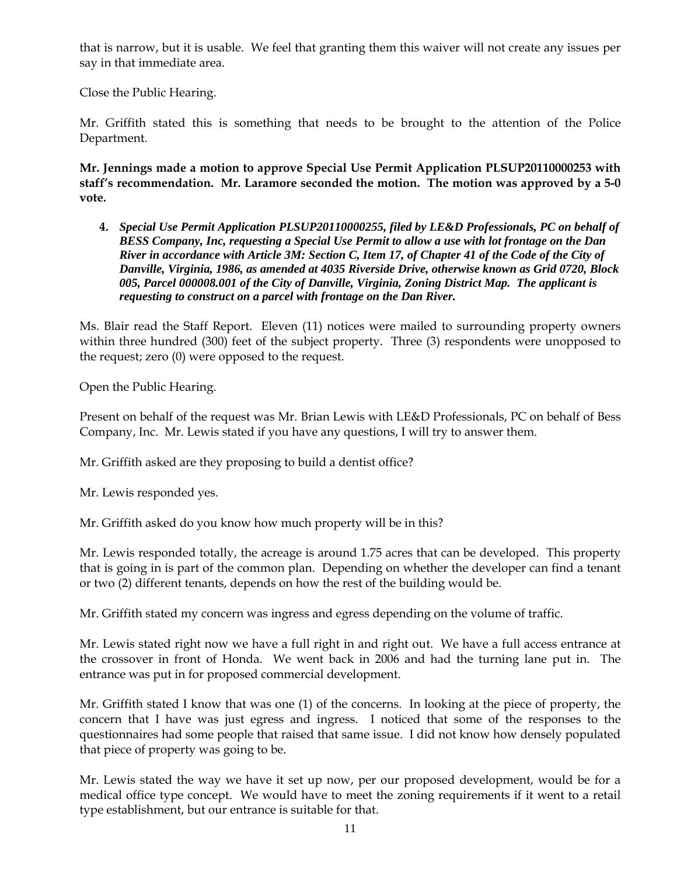that is narrow, but it is usable. We feel that granting them this waiver will not create any issues per say in that immediate area.

Close the Public Hearing.

Mr. Griffith stated this is something that needs to be brought to the attention of the Police Department.

**Mr. Jennings made a motion to approve Special Use Permit Application PLSUP20110000253 with staff's recommendation. Mr. Laramore seconded the motion. The motion was approved by a 5-0 vote.** 

**4.** *Special Use Permit Application PLSUP20110000255, filed by LE&D Professionals, PC on behalf of BESS Company, Inc, requesting a Special Use Permit to allow a use with lot frontage on the Dan River in accordance with Article 3M: Section C, Item 17, of Chapter 41 of the Code of the City of Danville, Virginia, 1986, as amended at 4035 Riverside Drive, otherwise known as Grid 0720, Block 005, Parcel 000008.001 of the City of Danville, Virginia, Zoning District Map. The applicant is requesting to construct on a parcel with frontage on the Dan River.* 

Ms. Blair read the Staff Report. Eleven (11) notices were mailed to surrounding property owners within three hundred (300) feet of the subject property. Three (3) respondents were unopposed to the request; zero (0) were opposed to the request.

Open the Public Hearing.

Present on behalf of the request was Mr. Brian Lewis with LE&D Professionals, PC on behalf of Bess Company, Inc. Mr. Lewis stated if you have any questions, I will try to answer them.

Mr. Griffith asked are they proposing to build a dentist office?

Mr. Lewis responded yes.

Mr. Griffith asked do you know how much property will be in this?

Mr. Lewis responded totally, the acreage is around 1.75 acres that can be developed. This property that is going in is part of the common plan. Depending on whether the developer can find a tenant or two (2) different tenants, depends on how the rest of the building would be.

Mr. Griffith stated my concern was ingress and egress depending on the volume of traffic.

Mr. Lewis stated right now we have a full right in and right out. We have a full access entrance at the crossover in front of Honda. We went back in 2006 and had the turning lane put in. The entrance was put in for proposed commercial development.

Mr. Griffith stated I know that was one (1) of the concerns. In looking at the piece of property, the concern that I have was just egress and ingress. I noticed that some of the responses to the questionnaires had some people that raised that same issue. I did not know how densely populated that piece of property was going to be.

Mr. Lewis stated the way we have it set up now, per our proposed development, would be for a medical office type concept. We would have to meet the zoning requirements if it went to a retail type establishment, but our entrance is suitable for that.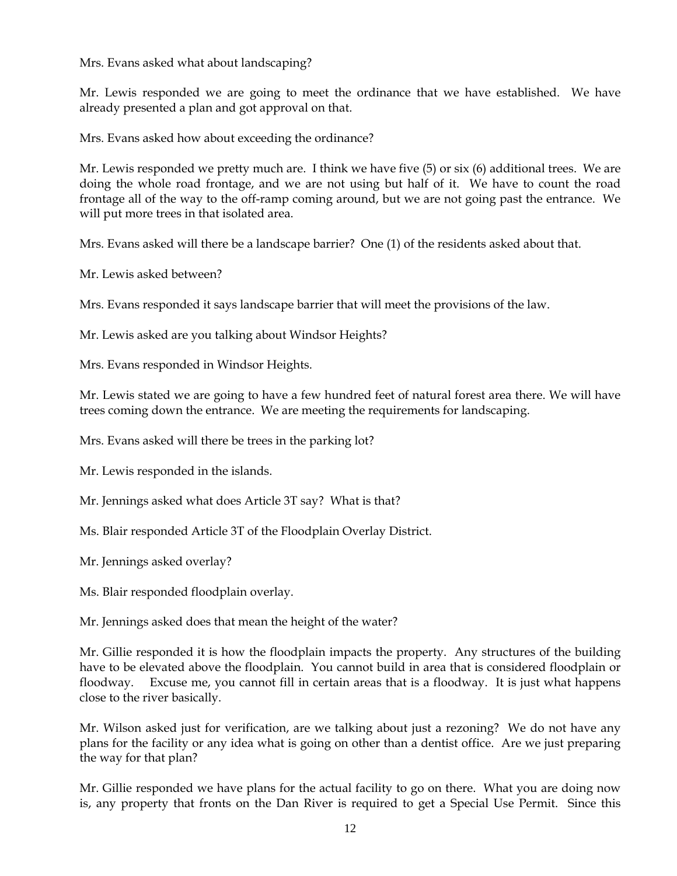Mrs. Evans asked what about landscaping?

Mr. Lewis responded we are going to meet the ordinance that we have established. We have already presented a plan and got approval on that.

Mrs. Evans asked how about exceeding the ordinance?

Mr. Lewis responded we pretty much are. I think we have five (5) or six (6) additional trees. We are doing the whole road frontage, and we are not using but half of it. We have to count the road frontage all of the way to the off-ramp coming around, but we are not going past the entrance. We will put more trees in that isolated area.

Mrs. Evans asked will there be a landscape barrier? One (1) of the residents asked about that.

Mr. Lewis asked between?

Mrs. Evans responded it says landscape barrier that will meet the provisions of the law.

Mr. Lewis asked are you talking about Windsor Heights?

Mrs. Evans responded in Windsor Heights.

Mr. Lewis stated we are going to have a few hundred feet of natural forest area there. We will have trees coming down the entrance. We are meeting the requirements for landscaping.

Mrs. Evans asked will there be trees in the parking lot?

Mr. Lewis responded in the islands.

Mr. Jennings asked what does Article 3T say? What is that?

Ms. Blair responded Article 3T of the Floodplain Overlay District.

Mr. Jennings asked overlay?

Ms. Blair responded floodplain overlay.

Mr. Jennings asked does that mean the height of the water?

Mr. Gillie responded it is how the floodplain impacts the property. Any structures of the building have to be elevated above the floodplain. You cannot build in area that is considered floodplain or floodway. Excuse me, you cannot fill in certain areas that is a floodway. It is just what happens close to the river basically.

Mr. Wilson asked just for verification, are we talking about just a rezoning? We do not have any plans for the facility or any idea what is going on other than a dentist office. Are we just preparing the way for that plan?

Mr. Gillie responded we have plans for the actual facility to go on there. What you are doing now is, any property that fronts on the Dan River is required to get a Special Use Permit. Since this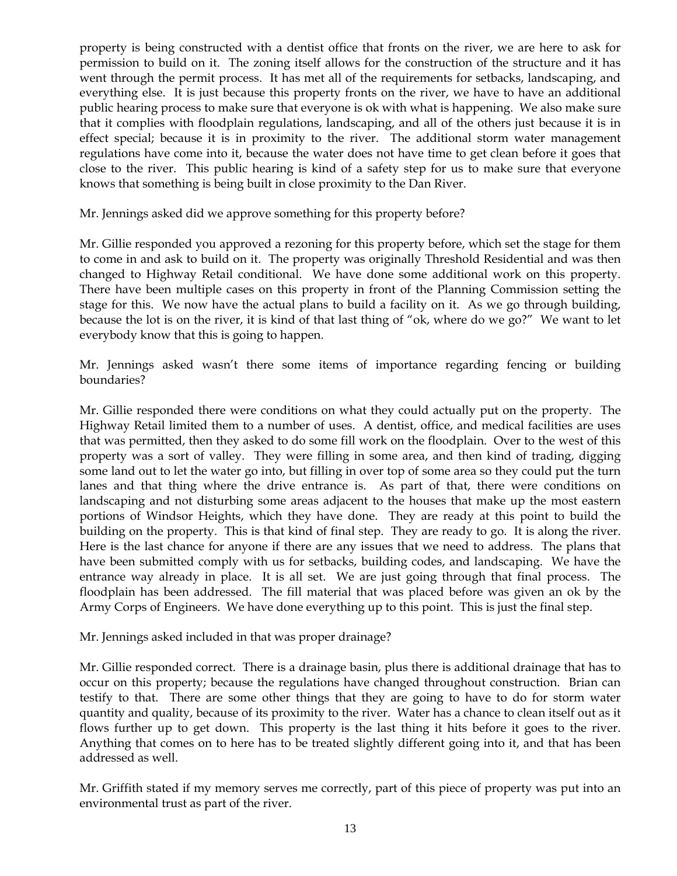property is being constructed with a dentist office that fronts on the river, we are here to ask for permission to build on it. The zoning itself allows for the construction of the structure and it has went through the permit process. It has met all of the requirements for setbacks, landscaping, and everything else. It is just because this property fronts on the river, we have to have an additional public hearing process to make sure that everyone is ok with what is happening. We also make sure that it complies with floodplain regulations, landscaping, and all of the others just because it is in effect special; because it is in proximity to the river. The additional storm water management regulations have come into it, because the water does not have time to get clean before it goes that close to the river. This public hearing is kind of a safety step for us to make sure that everyone knows that something is being built in close proximity to the Dan River.

Mr. Jennings asked did we approve something for this property before?

Mr. Gillie responded you approved a rezoning for this property before, which set the stage for them to come in and ask to build on it. The property was originally Threshold Residential and was then changed to Highway Retail conditional. We have done some additional work on this property. There have been multiple cases on this property in front of the Planning Commission setting the stage for this. We now have the actual plans to build a facility on it. As we go through building, because the lot is on the river, it is kind of that last thing of "ok, where do we go?" We want to let everybody know that this is going to happen.

Mr. Jennings asked wasn't there some items of importance regarding fencing or building boundaries?

Mr. Gillie responded there were conditions on what they could actually put on the property. The Highway Retail limited them to a number of uses. A dentist, office, and medical facilities are uses that was permitted, then they asked to do some fill work on the floodplain. Over to the west of this property was a sort of valley. They were filling in some area, and then kind of trading, digging some land out to let the water go into, but filling in over top of some area so they could put the turn lanes and that thing where the drive entrance is. As part of that, there were conditions on landscaping and not disturbing some areas adjacent to the houses that make up the most eastern portions of Windsor Heights, which they have done. They are ready at this point to build the building on the property. This is that kind of final step. They are ready to go. It is along the river. Here is the last chance for anyone if there are any issues that we need to address. The plans that have been submitted comply with us for setbacks, building codes, and landscaping. We have the entrance way already in place. It is all set. We are just going through that final process. The floodplain has been addressed. The fill material that was placed before was given an ok by the Army Corps of Engineers. We have done everything up to this point. This is just the final step.

Mr. Jennings asked included in that was proper drainage?

Mr. Gillie responded correct. There is a drainage basin, plus there is additional drainage that has to occur on this property; because the regulations have changed throughout construction. Brian can testify to that. There are some other things that they are going to have to do for storm water quantity and quality, because of its proximity to the river. Water has a chance to clean itself out as it flows further up to get down. This property is the last thing it hits before it goes to the river. Anything that comes on to here has to be treated slightly different going into it, and that has been addressed as well.

Mr. Griffith stated if my memory serves me correctly, part of this piece of property was put into an environmental trust as part of the river.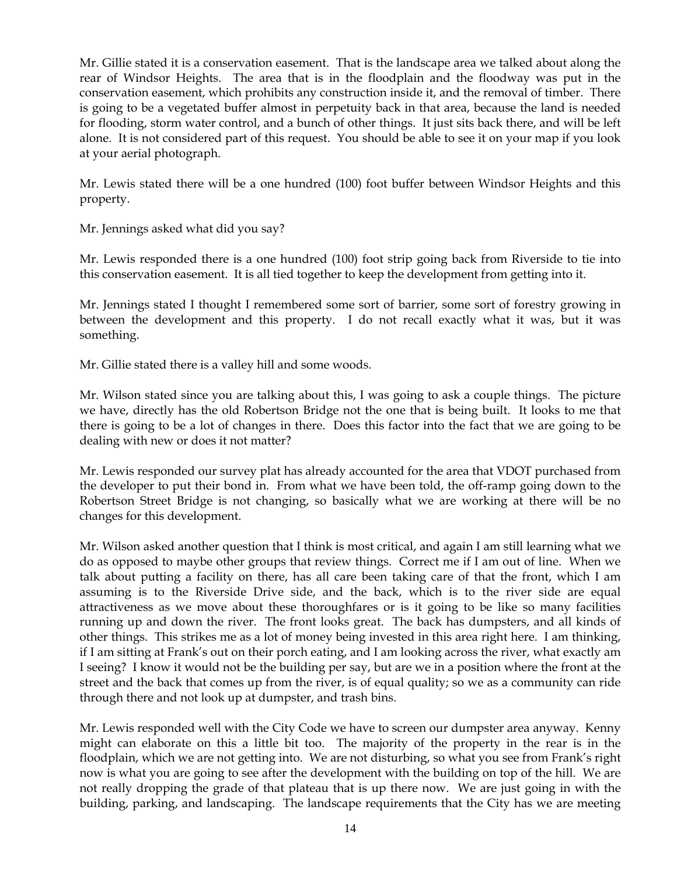Mr. Gillie stated it is a conservation easement. That is the landscape area we talked about along the rear of Windsor Heights. The area that is in the floodplain and the floodway was put in the conservation easement, which prohibits any construction inside it, and the removal of timber. There is going to be a vegetated buffer almost in perpetuity back in that area, because the land is needed for flooding, storm water control, and a bunch of other things. It just sits back there, and will be left alone. It is not considered part of this request. You should be able to see it on your map if you look at your aerial photograph.

Mr. Lewis stated there will be a one hundred (100) foot buffer between Windsor Heights and this property.

Mr. Jennings asked what did you say?

Mr. Lewis responded there is a one hundred (100) foot strip going back from Riverside to tie into this conservation easement. It is all tied together to keep the development from getting into it.

Mr. Jennings stated I thought I remembered some sort of barrier, some sort of forestry growing in between the development and this property. I do not recall exactly what it was, but it was something.

Mr. Gillie stated there is a valley hill and some woods.

Mr. Wilson stated since you are talking about this, I was going to ask a couple things. The picture we have, directly has the old Robertson Bridge not the one that is being built. It looks to me that there is going to be a lot of changes in there. Does this factor into the fact that we are going to be dealing with new or does it not matter?

Mr. Lewis responded our survey plat has already accounted for the area that VDOT purchased from the developer to put their bond in. From what we have been told, the off-ramp going down to the Robertson Street Bridge is not changing, so basically what we are working at there will be no changes for this development.

Mr. Wilson asked another question that I think is most critical, and again I am still learning what we do as opposed to maybe other groups that review things. Correct me if I am out of line. When we talk about putting a facility on there, has all care been taking care of that the front, which I am assuming is to the Riverside Drive side, and the back, which is to the river side are equal attractiveness as we move about these thoroughfares or is it going to be like so many facilities running up and down the river. The front looks great. The back has dumpsters, and all kinds of other things. This strikes me as a lot of money being invested in this area right here. I am thinking, if I am sitting at Frank's out on their porch eating, and I am looking across the river, what exactly am I seeing? I know it would not be the building per say, but are we in a position where the front at the street and the back that comes up from the river, is of equal quality; so we as a community can ride through there and not look up at dumpster, and trash bins.

Mr. Lewis responded well with the City Code we have to screen our dumpster area anyway. Kenny might can elaborate on this a little bit too. The majority of the property in the rear is in the floodplain, which we are not getting into. We are not disturbing, so what you see from Frank's right now is what you are going to see after the development with the building on top of the hill. We are not really dropping the grade of that plateau that is up there now. We are just going in with the building, parking, and landscaping. The landscape requirements that the City has we are meeting